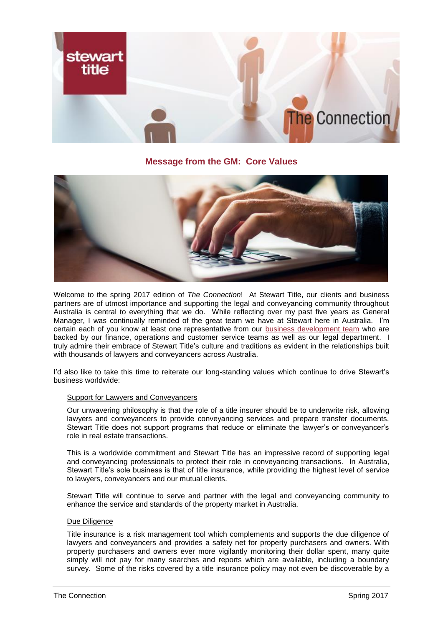

## **Message from the GM: Core Values**



Welcome to the spring 2017 edition of *The Connection*! At Stewart Title, our clients and business partners are of utmost importance and supporting the legal and conveyancing community throughout Australia is central to everything that we do. While reflecting over my past five years as General Manager, I was continually reminded of the great team we have at Stewart here in Australia. I'm certain each of you know at least one representative from our **business development team** who are backed by our finance, operations and customer service teams as well as our legal department. I truly admire their embrace of Stewart Title's culture and traditions as evident in the relationships built with thousands of lawyers and conveyancers across Australia.

I'd also like to take this time to reiterate our long-standing values which continue to drive Stewart's business worldwide:

## Support for Lawyers and Conveyancers

Our unwavering philosophy is that the role of a title insurer should be to underwrite risk, allowing lawyers and conveyancers to provide conveyancing services and prepare transfer documents. Stewart Title does not support programs that reduce or eliminate the lawyer's or conveyancer's role in real estate transactions.

This is a worldwide commitment and Stewart Title has an impressive record of supporting legal and conveyancing professionals to protect their role in conveyancing transactions. In Australia, Stewart Title's sole business is that of title insurance, while providing the highest level of service to lawyers, conveyancers and our mutual clients.

Stewart Title will continue to serve and partner with the legal and conveyancing community to enhance the service and standards of the property market in Australia.

#### Due Diligence

Title insurance is a risk management tool which complements and supports the due diligence of lawyers and conveyancers and provides a safety net for property purchasers and owners. With property purchasers and owners ever more vigilantly monitoring their dollar spent, many quite simply will not pay for many searches and reports which are available, including a boundary survey. Some of the risks covered by a title insurance policy may not even be discoverable by a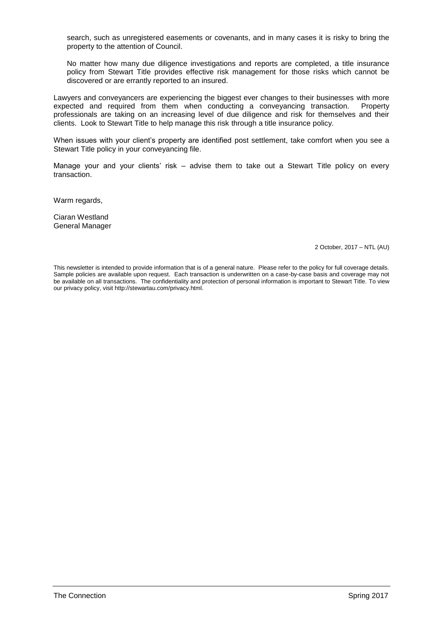search, such as unregistered easements or covenants, and in many cases it is risky to bring the property to the attention of Council.

No matter how many due diligence investigations and reports are completed, a title insurance policy from Stewart Title provides effective risk management for those risks which cannot be discovered or are errantly reported to an insured.

Lawyers and conveyancers are experiencing the biggest ever changes to their businesses with more expected and required from them when conducting a conveyancing transaction. Property professionals are taking on an increasing level of due diligence and risk for themselves and their clients. Look to Stewart Title to help manage this risk through a title insurance policy.

When issues with your client's property are identified post settlement, take comfort when you see a Stewart Title policy in your conveyancing file.

Manage your and your clients' risk – advise them to take out a Stewart Title policy on every transaction.

Warm regards.

Ciaran Westland General Manager

2 October, 2017 – NTL (AU)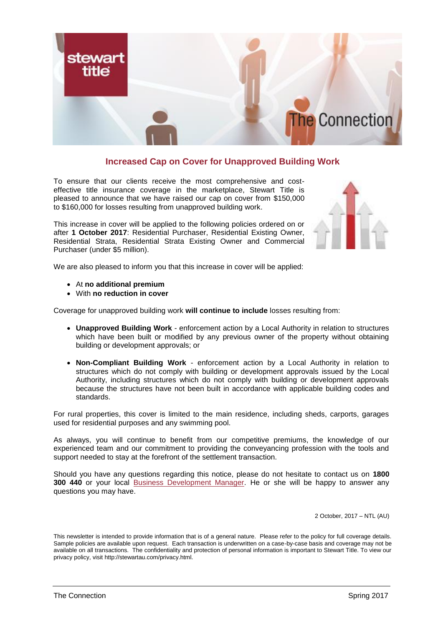

# **Increased Cap on Cover for Unapproved Building Work**

To ensure that our clients receive the most comprehensive and costeffective title insurance coverage in the marketplace, Stewart Title is pleased to announce that we have raised our cap on cover from \$150,000 to \$160,000 for losses resulting from unapproved building work.

This increase in cover will be applied to the following policies ordered on or after **1 October 2017**: Residential Purchaser, Residential Existing Owner, Residential Strata, Residential Strata Existing Owner and Commercial Purchaser (under \$5 million).



We are also pleased to inform you that this increase in cover will be applied:

- At **no additional premium**
- With **no reduction in cover**

Coverage for unapproved building work **will continue to include** losses resulting from:

- **Unapproved Building Work** enforcement action by a Local Authority in relation to structures which have been built or modified by any previous owner of the property without obtaining building or development approvals; or
- **Non-Compliant Building Work** enforcement action by a Local Authority in relation to structures which do not comply with building or development approvals issued by the Local Authority, including structures which do not comply with building or development approvals because the structures have not been built in accordance with applicable building codes and standards.

For rural properties, this cover is limited to the main residence, including sheds, carports, garages used for residential purposes and any swimming pool.

As always, you will continue to benefit from our competitive premiums, the knowledge of our experienced team and our commitment to providing the conveyancing profession with the tools and support needed to stay at the forefront of the settlement transaction.

Should you have any questions regarding this notice, please do not hesitate to contact us on **1800 300 440** or your local [Business Development Manager.](https://urldefense.proofpoint.com/v2/url?u=http-3A__stewartau.com_ContactBusinessRep.html&d=DwMFaQ&c=A2I0cd0yeEKQCn3mv-g-KzOAX7YMnpExrKRXrh8neX0&r=BaYl3bID8iETqR5TbksKu3czIxTdVrc242XbcZKsIjE&m=UoOMbs33XrkaDByCSRd9MgseIsaNqLXmDRVEcBffUFY&s=u_fcPqaSIXN79723_inj-CRzz0K-Wf04GePqoMFFODY&e=) He or she will be happy to answer any questions you may have.

2 October, 2017 – NTL (AU)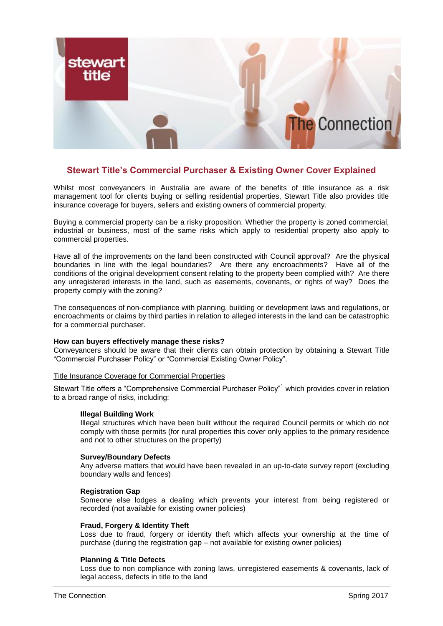

## **Stewart Title's Commercial Purchaser & Existing Owner Cover Explained**

Whilst most conveyancers in Australia are aware of the benefits of title insurance as a risk management tool for clients buying or selling residential properties, Stewart Title also provides title insurance coverage for buyers, sellers and existing owners of commercial property.

Buying a commercial property can be a risky proposition. Whether the property is zoned commercial, industrial or business, most of the same risks which apply to residential property also apply to commercial properties.

Have all of the improvements on the land been constructed with Council approval? Are the physical boundaries in line with the legal boundaries? Are there any encroachments? Have all of the conditions of the original development consent relating to the property been complied with? Are there any unregistered interests in the land, such as easements, covenants, or rights of way? Does the property comply with the zoning?

The consequences of non-compliance with planning, building or development laws and regulations, or encroachments or claims by third parties in relation to alleged interests in the land can be catastrophic for a commercial purchaser.

## **How can buyers effectively manage these risks?**

Conveyancers should be aware that their clients can obtain protection by obtaining a Stewart Title "Commercial Purchaser Policy" or "Commercial Existing Owner Policy".

#### Title Insurance Coverage for Commercial Properties

Stewart Title offers a "Comprehensive Commercial Purchaser Policy"<sup>1</sup> which provides cover in relation to a broad range of risks, including:

#### **Illegal Building Work**

Illegal structures which have been built without the required Council permits or which do not comply with those permits (for rural properties this cover only applies to the primary residence and not to other structures on the property)

#### **Survey/Boundary Defects**

Any adverse matters that would have been revealed in an up-to-date survey report (excluding boundary walls and fences)

## **Registration Gap**

Someone else lodges a dealing which prevents your interest from being registered or recorded (not available for existing owner policies)

## **Fraud, Forgery & Identity Theft**

Loss due to fraud, forgery or identity theft which affects your ownership at the time of purchase (during the registration gap – not available for existing owner policies)

## **Planning & Title Defects**

Loss due to non compliance with zoning laws, unregistered easements & covenants, lack of legal access, defects in title to the land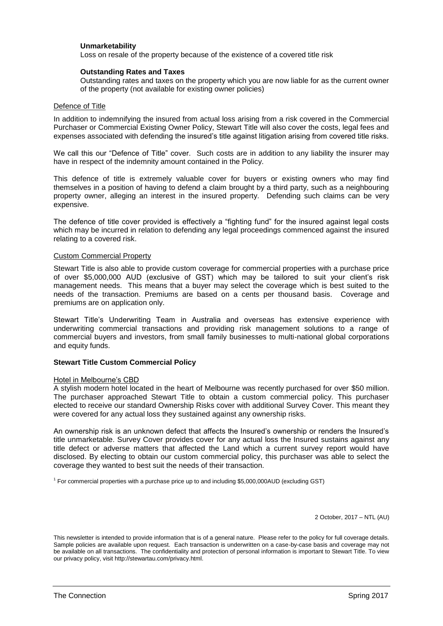## **Unmarketability**

Loss on resale of the property because of the existence of a covered title risk

## **Outstanding Rates and Taxes**

Outstanding rates and taxes on the property which you are now liable for as the current owner of the property (not available for existing owner policies)

### Defence of Title

In addition to indemnifying the insured from actual loss arising from a risk covered in the Commercial Purchaser or Commercial Existing Owner Policy, Stewart Title will also cover the costs, legal fees and expenses associated with defending the insured's title against litigation arising from covered title risks.

We call this our "Defence of Title" cover. Such costs are in addition to any liability the insurer may have in respect of the indemnity amount contained in the Policy.

This defence of title is extremely valuable cover for buyers or existing owners who may find themselves in a position of having to defend a claim brought by a third party, such as a neighbouring property owner, alleging an interest in the insured property. Defending such claims can be very expensive.

The defence of title cover provided is effectively a "fighting fund" for the insured against legal costs which may be incurred in relation to defending any legal proceedings commenced against the insured relating to a covered risk.

### Custom Commercial Property

Stewart Title is also able to provide custom coverage for commercial properties with a purchase price of over \$5,000,000 AUD (exclusive of GST) which may be tailored to suit your client's risk management needs. This means that a buyer may select the coverage which is best suited to the needs of the transaction. Premiums are based on a cents per thousand basis. Coverage and premiums are on application only.

Stewart Title's Underwriting Team in Australia and overseas has extensive experience with underwriting commercial transactions and providing risk management solutions to a range of commercial buyers and investors, from small family businesses to multi-national global corporations and equity funds.

## **Stewart Title Custom Commercial Policy**

## Hotel in Melbourne's CBD

A stylish modern hotel located in the heart of Melbourne was recently purchased for over \$50 million. The purchaser approached Stewart Title to obtain a custom commercial policy. This purchaser elected to receive our standard Ownership Risks cover with additional Survey Cover. This meant they were covered for any actual loss they sustained against any ownership risks.

An ownership risk is an unknown defect that affects the Insured's ownership or renders the Insured's title unmarketable. Survey Cover provides cover for any actual loss the Insured sustains against any title defect or adverse matters that affected the Land which a current survey report would have disclosed. By electing to obtain our custom commercial policy, this purchaser was able to select the coverage they wanted to best suit the needs of their transaction.

1 For commercial properties with a purchase price up to and including \$5,000,000AUD (excluding GST)

2 October, 2017 – NTL (AU)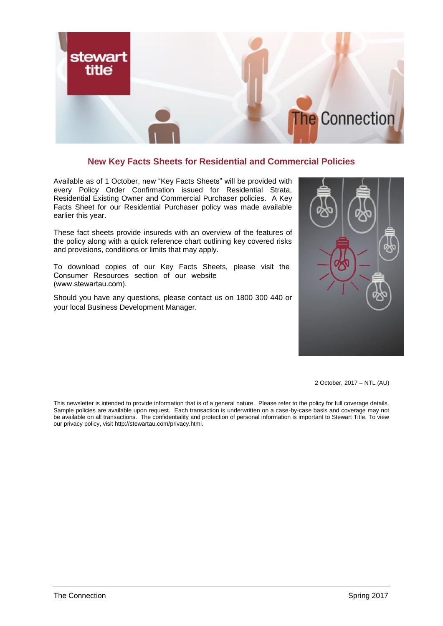

# **New Key Facts Sheets for Residential and Commercial Policies**

Available as of 1 October, new "Key Facts Sheets" will be provided with every Policy Order Confirmation issued for Residential Strata, Residential Existing Owner and Commercial Purchaser policies. A Key Facts Sheet for our Residential Purchaser policy was made available earlier this year.

These fact sheets provide insureds with an overview of the features of the policy along with a quick reference chart outlining key covered risks and provisions, conditions or limits that may apply.

To download copies of our Key Facts Sheets, please visit the Consumer Resources section of our website (www.stewartau.com).

Should you have any questions, please contact us on 1800 300 440 or your local Business Development Manager.



2 October, 2017 – NTL (AU)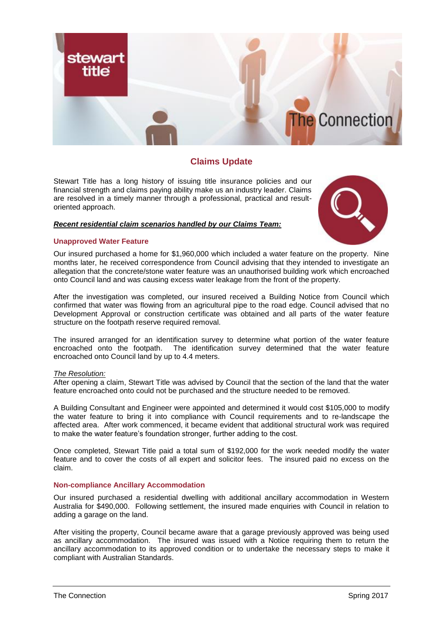

# **Claims Update**

Stewart Title has a long history of issuing title insurance policies and our financial strength and claims paying ability make us an industry leader. Claims are resolved in a timely manner through a professional, practical and resultoriented approach.

## *Recent residential claim scenarios handled by our Claims Team:*

## **Unapproved Water Feature**



Our insured purchased a home for \$1,960,000 which included a water feature on the property. Nine months later, he received correspondence from Council advising that they intended to investigate an allegation that the concrete/stone water feature was an unauthorised building work which encroached onto Council land and was causing excess water leakage from the front of the property.

After the investigation was completed, our insured received a Building Notice from Council which confirmed that water was flowing from an agricultural pipe to the road edge. Council advised that no Development Approval or construction certificate was obtained and all parts of the water feature structure on the footpath reserve required removal.

The insured arranged for an identification survey to determine what portion of the water feature encroached onto the footpath. The identification survey determined that the water feature encroached onto Council land by up to 4.4 meters.

### *The Resolution:*

After opening a claim, Stewart Title was advised by Council that the section of the land that the water feature encroached onto could not be purchased and the structure needed to be removed.

A Building Consultant and Engineer were appointed and determined it would cost \$105,000 to modify the water feature to bring it into compliance with Council requirements and to re-landscape the affected area. After work commenced, it became evident that additional structural work was required to make the water feature's foundation stronger, further adding to the cost.

Once completed, Stewart Title paid a total sum of \$192,000 for the work needed modify the water feature and to cover the costs of all expert and solicitor fees. The insured paid no excess on the claim.

## **Non-compliance Ancillary Accommodation**

Our insured purchased a residential dwelling with additional ancillary accommodation in Western Australia for \$490,000. Following settlement, the insured made enquiries with Council in relation to adding a garage on the land.

After visiting the property, Council became aware that a garage previously approved was being used as ancillary accommodation. The insured was issued with a Notice requiring them to return the ancillary accommodation to its approved condition or to undertake the necessary steps to make it compliant with Australian Standards.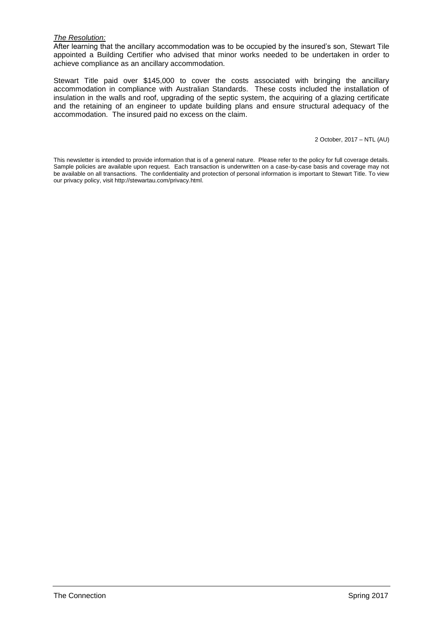## *The Resolution:*

After learning that the ancillary accommodation was to be occupied by the insured's son, Stewart Tile appointed a Building Certifier who advised that minor works needed to be undertaken in order to achieve compliance as an ancillary accommodation.

Stewart Title paid over \$145,000 to cover the costs associated with bringing the ancillary accommodation in compliance with Australian Standards. These costs included the installation of insulation in the walls and roof, upgrading of the septic system, the acquiring of a glazing certificate and the retaining of an engineer to update building plans and ensure structural adequacy of the accommodation. The insured paid no excess on the claim.

2 October, 2017 – NTL (AU)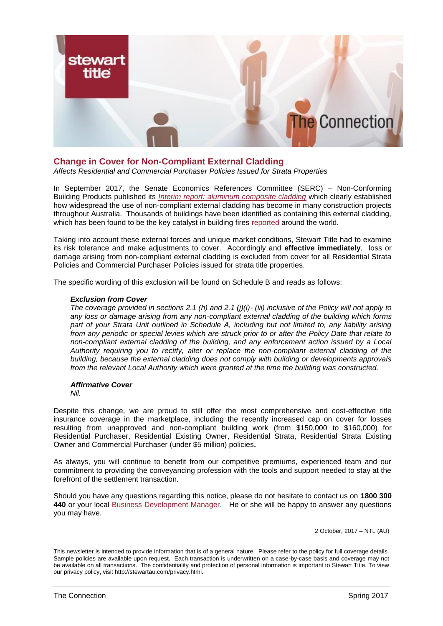

# **Change in Cover for Non-Compliant External Cladding**

*Affects Residential and Commercial Purchaser Policies Issued for Strata Properties* 

In September 2017, the Senate Economics References Committee (SERC) – Non-Conforming Building Products published its *[Interim report: aluminum composite cladding](http://www.aph.gov.au/Parliamentary_Business/Committees/Senate/Economics/Non-conforming45th/Interim_report_cladding)* which clearly established how widespread the use of non-compliant external cladding has become in many construction projects throughout Australia. Thousands of buildings have been identified as containing this external cladding, which has been found to be the key catalyst in building fires [reported](http://www.insurancenews.com.au/analysis/flammable-cladding-ignoring-the-alarms) around the world.

Taking into account these external forces and unique market conditions, Stewart Title had to examine its risk tolerance and make adjustments to cover. Accordingly and **effective immediately**, loss or damage arising from non-compliant external cladding is excluded from cover for all Residential Strata Policies and Commercial Purchaser Policies issued for strata title properties.

The specific wording of this exclusion will be found on Schedule B and reads as follows:

### *Exclusion from Cover*

*The coverage provided in sections 2.1 (h) and 2.1 (j)(i)- (iii) inclusive of the Policy will not apply to any loss or damage arising from any non-compliant external cladding of the building which forms part of your Strata Unit outlined in Schedule A, including but not limited to, any liability arising from any periodic or special levies which are struck prior to or after the Policy Date that relate to non-compliant external cladding of the building, and any enforcement action issued by a Local Authority requiring you to rectify, alter or replace the non-compliant external cladding of the building, because the external cladding does not comply with building or developments approvals from the relevant Local Authority which were granted at the time the building was constructed.* 

## *Affirmative Cover*

*Nil.*

Despite this change, we are proud to still offer the most comprehensive and cost-effective title insurance coverage in the marketplace, including the recently increased cap on cover for losses resulting from unapproved and non-compliant building work (from \$150,000 to \$160,000) for Residential Purchaser, Residential Existing Owner, Residential Strata, Residential Strata Existing Owner and Commercial Purchaser (under \$5 million) policies**.**

As always, you will continue to benefit from our competitive premiums, experienced team and our commitment to providing the conveyancing profession with the tools and support needed to stay at the forefront of the settlement transaction.

Should you have any questions regarding this notice, please do not hesitate to contact us on **1800 300 440** or your local [Business Development Manager.](http://stewartau.com/ContactBusinessRep.html) He or she will be happy to answer any questions you may have.

2 October, 2017 – NTL (AU)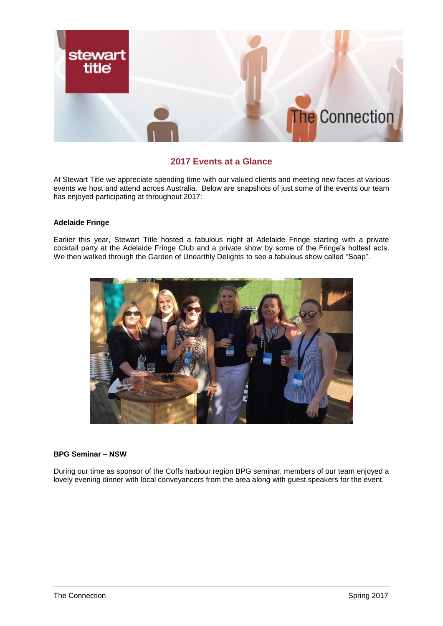

# **2017 Events at a Glance**

At Stewart Title we appreciate spending time with our valued clients and meeting new faces at various events we host and attend across Australia. Below are snapshots of just some of the events our team has enjoyed participating at throughout 2017:

## **Adelaide Fringe**

Earlier this year, Stewart Title hosted a fabulous night at Adelaide Fringe starting with a private cocktail party at the Adelaide Fringe Club and a private show by some of the Fringe's hottest acts. We then walked through the Garden of Unearthly Delights to see a fabulous show called "Soap".



## **BPG Seminar – NSW**

During our time as sponsor of the Coffs harbour region BPG seminar, members of our team enjoyed a lovely evening dinner with local conveyancers from the area along with guest speakers for the event.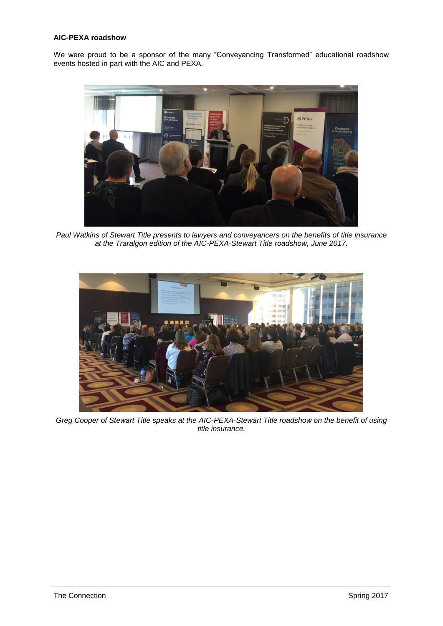## **AIC-PEXA roadshow**

We were proud to be a sponsor of the many "Conveyancing Transformed" educational roadshow events hosted in part with the AIC and PEXA.



*Paul Watkins of Stewart Title presents to lawyers and conveyancers on the benefits of title insurance at the Traralgon edition of the AIC-PEXA-Stewart Title roadshow, June 2017.*



*Greg Cooper of Stewart Title speaks at the AIC-PEXA-Stewart Title roadshow on the benefit of using title insurance.*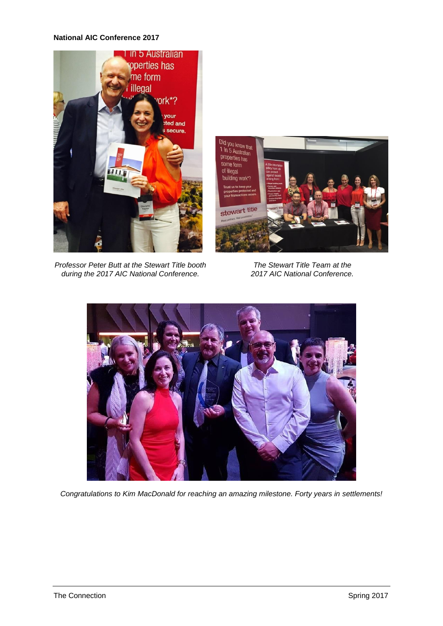## **National AIC Conference 2017**



*Professor Peter Butt at the Stewart Title booth during the 2017 AIC National Conference.*



*The Stewart Title Team at the 2017 AIC National Conference.*



*Congratulations to Kim MacDonald for reaching an amazing milestone. Forty years in settlements!*